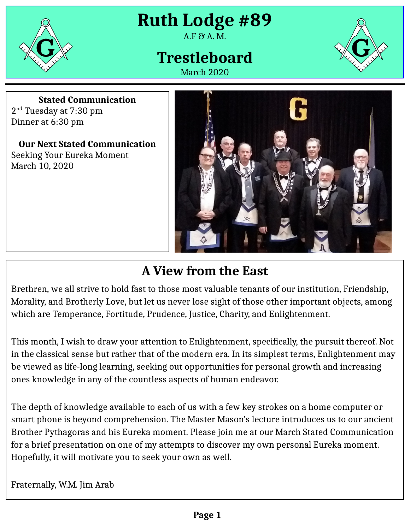

**Ruth Lodge #89**

### $A.F.$   $A.M.$

# **Trestleboard**





**Stated Communication** 2<sup>nd</sup> Tuesday at 7:30 pm Dinner at 6:30 pm

**Our Next Stated Communication** Seeking Your Eureka Moment March 10, 2020



## **A View from the East**

Brethren, we all strive to hold fast to those most valuable tenants of our institution, Friendship, Morality, and Brotherly Love, but let us never lose sight of those other important objects, among which are Temperance, Fortitude, Prudence, Justice, Charity, and Enlightenment.

This month, I wish to draw your attention to Enlightenment, specifically, the pursuit thereof. Not in the classical sense but rather that of the modern era. In its simplest terms, Enlightenment may be viewed as life-long learning, seeking out opportunities for personal growth and increasing ones knowledge in any of the countless aspects of human endeavor.

The depth of knowledge available to each of us with a few key strokes on a home computer or smart phone is beyond comprehension. The Master Mason's lecture introduces us to our ancient Brother Pythagoras and his Eureka moment. Please join me at our March Stated Communication for a brief presentation on one of my attempts to discover my own personal Eureka moment. Hopefully, it will motivate you to seek your own as well.

Fraternally, W.M. Jim Arab